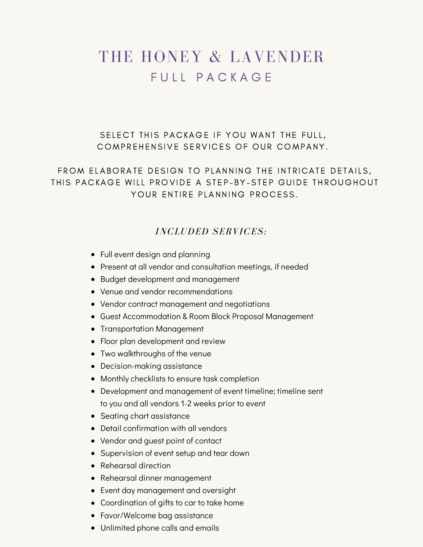# THE HONEY & LAVENDER FUIL PACKAGE

SELECT THIS PACKAGE IF YOU WANT THE FULL, COMPREHENSIVE SERVICES OF OUR COMPANY.

FROM ELABORATE DESIGN TO PLANNING THE INTRICATE DETAILS, THIS PACKAGE WILL PROVIDE A STEP-BY-STEP GUIDE THROUGHOUT YOUR ENTIRE PLANNING PROCESS.

### *INCLUDED SERVICES:*

- Full event design and planning
- Present at all vendor and consultation meetings, if needed
- Budget development and management
- Venue and vendor recommendations
- Vendor contract management and negotiations
- Guest Accommodation & Room Block Proposal Management
- Transportation Management
- Floor plan development and review
- Two walkthroughs of the venue
- Decision-making assistance
- Monthly checklists to ensure task completion
- Development and management of event timeline; timeline sent to you and all vendors 1-2 weeks prior to event
- Seating chart assistance
- Detail confirmation with all vendors
- Vendor and guest point of contact
- Supervision of event setup and tear down
- Rehearsal direction
- Rehearsal dinner management
- Event day management and oversight
- Coordination of gifts to car to take home
- Favor/Welcome bag assistance
- Unlimited phone calls and emails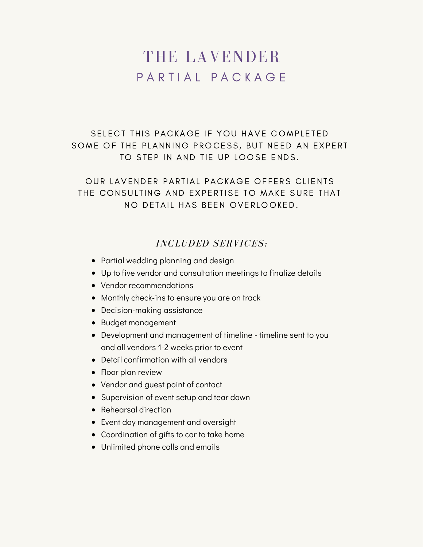# THE LAVENDER P A R T I A L P A C K A G F

SELECT THIS PACKAGE IF YOU HAVE COMPLETED SOME OF THE PLANNING PROCESS, BUT NEED AN EXPERT TO STEP IN AND TIE UP LOOSE ENDS.

OUR LAVENDER PARTIAL PACKAGE OFFERS CLIENTS THE CONSULTING AND EXPERTISE TO MAKE SURE THAT NO DETAIL HAS BEEN OVERLOOKED.

#### *INCLUDED SERVICES:*

- Partial wedding planning and design
- Up to five vendor and consultation meetings to finalize details
- Vendor recommendations
- Monthly check-ins to ensure you are on track
- Decision-making assistance
- Budget management
- Development and management of timeline timeline sent to you and all vendors 1-2 weeks prior to event
- Detail confirmation with all vendors
- Floor plan review
- Vendor and guest point of contact
- Supervision of event setup and tear down
- Rehearsal direction
- Event day management and oversight
- Coordination of gifts to car to take home
- Unlimited phone calls and emails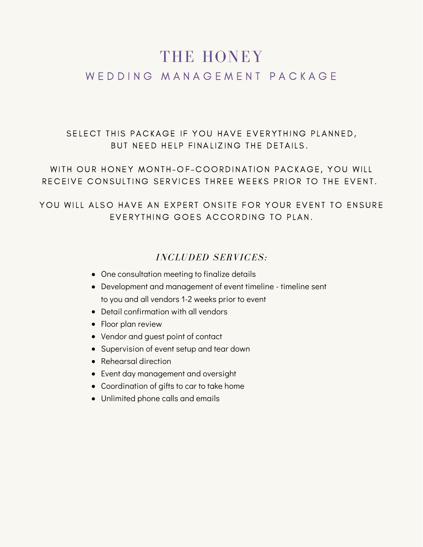## THE HONEY WE D D I N G M A N A G E M E N T P A C K A G E

SELECT THIS PACKAGE IF YOU HAVE EVERYTHING PLANNED, BUT NEED HELP FINALIZING THE DETAILS.

WITH OUR HONEY MONTH-OF-COORDINATION PACKAGE, YOU WILL RECEIVE CONSULTING SERVICES THREE WEEKS PRIOR TO THE EVENT.

YOU WILL ALSO HAVE AN EXPERT ONSITE FOR YOUR EVENT TO ENSURE EVERYTHING GOES ACCORDING TO PLAN.

#### *INCLUDED SERVICES:*

- One consultation meeting to finalize details
- Development and management of event timeline timeline sent to you and all vendors 1-2 weeks prior to event
- Detail confirmation with all vendors
- Floor plan review
- Vendor and guest point of contact
- Supervision of event setup and tear down
- Rehearsal direction
- Event day management and oversight
- Coordination of gifts to car to take home
- Unlimited phone calls and emails